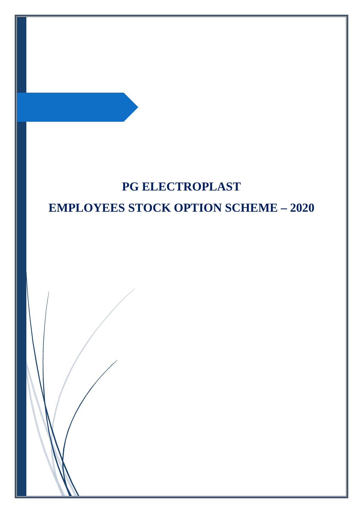# **PG ELECTROPLAST EMPLOYEES STOCK OPTION SCHEME – 2020**

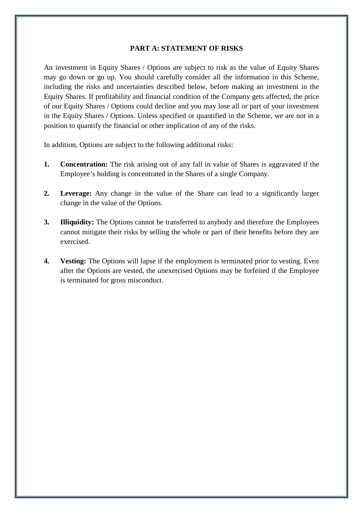#### **PART A: STATEMENT OF RISKS**

An investment in Equity Shares / Options are subject to risk as the value of Equity Shares may go down or go up. You should carefully consider all the information in this Scheme, including the risks and uncertainties described below, before making an investment in the Equity Shares. If profitability and financial condition of the Company gets affected, the price of our Equity Shares / Options could decline and you may lose all or part of your investment in the Equity Shares / Options. Unless specified or quantified in the Scheme, we are not in a position to quantify the financial or other implication of any of the risks.

In addition, Options are subject to the following additional risks:

- **1. Concentration:** The risk arising out of any fall in value of Shares is aggravated if the Employee's holding is concentrated in the Shares of a single Company.
- **2. Leverage:** Any change in the value of the Share can lead to a significantly larger change in the value of the Options.
- **3. Illiquidity:** The Options cannot be transferred to anybody and therefore the Employees cannot mitigate their risks by selling the whole or part of their benefits before they are exercised.
- **4. Vesting:** The Options will lapse if the employment is terminated prior to vesting. Even after the Options are vested, the unexercised Options may be forfeited if the Employee is terminated for gross misconduct.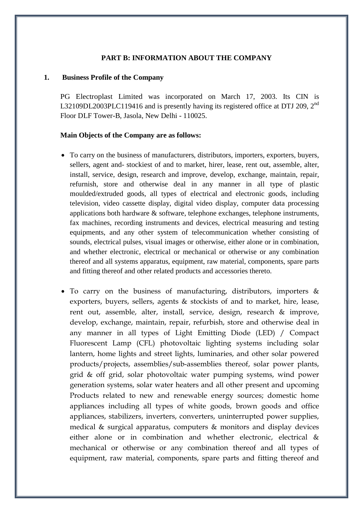## **PART B: INFORMATION ABOUT THE COMPANY**

#### **1. Business Profile of the Company**

PG Electroplast Limited was incorporated on March 17, 2003. Its CIN is L32109DL2003PLC119416 and is presently having its registered office at DTJ 209, 2<sup>nd</sup> Floor DLF Tower-B, Jasola, New Delhi - 110025.

#### **Main Objects of the Company are as follows:**

- To carry on the business of manufacturers, distributors, importers, exporters, buyers, sellers, agent and- stockiest of and to market, hirer, lease, rent out, assemble, alter, install, service, design, research and improve, develop, exchange, maintain, repair, refurnish, store and otherwise deal in any manner in all type of plastic moulded/extruded goods, all types of electrical and electronic goods, including television, video cassette display, digital video display, computer data processing applications both hardware & software, telephone exchanges, telephone instruments, fax machines, recording instruments and devices, electrical measuring and testing equipments, and any other system of telecommunication whether consisting of sounds, electrical pulses, visual images or otherwise, either alone or in combination, and whether electronic, electrical or mechanical or otherwise or any combination thereof and all systems apparatus, equipment, raw material, components, spare parts and fitting thereof and other related products and accessories thereto.
- To carry on the business of manufacturing, distributors, importers & exporters, buyers, sellers, agents & stockists of and to market, hire, lease, rent out, assemble, alter, install, service, design, research & improve, develop, exchange, maintain, repair, refurbish, store and otherwise deal in any manner in all types of Light Emitting Diode (LED) / Compact Fluorescent Lamp (CFL) photovoltaic lighting systems including solar lantern, home lights and street lights, luminaries, and other solar powered products/projects, assemblies/sub-assemblies thereof, solar power plants, grid & off grid, solar photovoltaic water pumping systems, wind power generation systems, solar water heaters and all other present and upcoming Products related to new and renewable energy sources; domestic home appliances including all types of white goods, brown goods and office appliances, stabilizers, inverters, converters, uninterrupted power supplies, medical & surgical apparatus, computers & monitors and display devices either alone or in combination and whether electronic, electrical & mechanical or otherwise or any combination thereof and all types of equipment, raw material, components, spare parts and fitting thereof and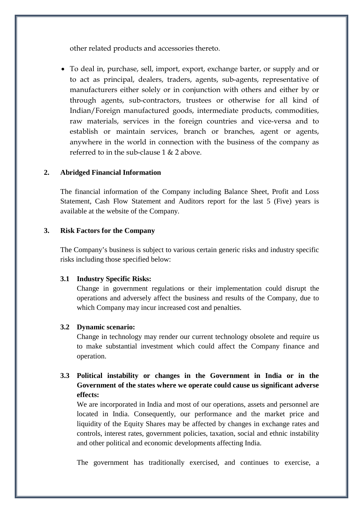other related products and accessories thereto.

• To deal in, purchase, sell, import, export, exchange barter, or supply and or to act as principal, dealers, traders, agents, sub-agents, representative of manufacturers either solely or in conjunction with others and either by or through agents, sub-contractors, trustees or otherwise for all kind of Indian/Foreign manufactured goods, intermediate products, commodities, raw materials, services in the foreign countries and vice-versa and to establish or maintain services, branch or branches, agent or agents, anywhere in the world in connection with the business of the company as referred to in the sub-clause  $1 & 2$  above

## **2. Abridged Financial Information**

The financial information of the Company including Balance Sheet, Profit and Loss Statement, Cash Flow Statement and Auditors report for the last 5 (Five) years is available at the website of the Company.

## **3. Risk Factors for the Company**

The Company's business is subject to various certain generic risks and industry specific risks including those specified below:

## **3.1 Industry Specific Risks:**

Change in government regulations or their implementation could disrupt the operations and adversely affect the business and results of the Company, due to which Company may incur increased cost and penalties.

## **3.2 Dynamic scenario:**

Change in technology may render our current technology obsolete and require us to make substantial investment which could affect the Company finance and operation.

# **3.3 Political instability or changes in the Government in India or in the Government of the states where we operate could cause us significant adverse effects:**

We are incorporated in India and most of our operations, assets and personnel are located in India. Consequently, our performance and the market price and liquidity of the Equity Shares may be affected by changes in exchange rates and controls, interest rates, government policies, taxation, social and ethnic instability and other political and economic developments affecting India.

The government has traditionally exercised, and continues to exercise, a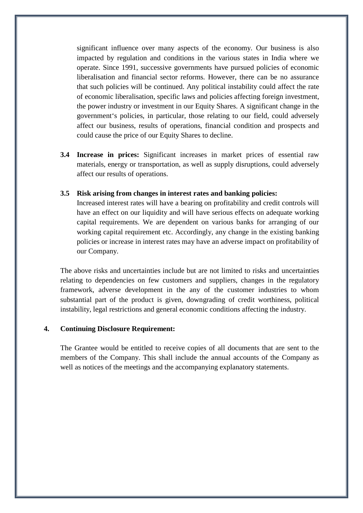significant influence over many aspects of the economy. Our business is also impacted by regulation and conditions in the various states in India where we operate. Since 1991, successive governments have pursued policies of economic liberalisation and financial sector reforms. However, there can be no assurance that such policies will be continued. Any political instability could affect the rate of economic liberalisation, specific laws and policies affecting foreign investment, the power industry or investment in our Equity Shares. A significant change in the government's policies, in particular, those relating to our field, could adversely affect our business, results of operations, financial condition and prospects and could cause the price of our Equity Shares to decline.

**3.4 Increase in prices:** Significant increases in market prices of essential raw materials, energy or transportation, as well as supply disruptions, could adversely affect our results of operations.

#### **3.5 Risk arising from changes in interest rates and banking policies:**

Increased interest rates will have a bearing on profitability and credit controls will have an effect on our liquidity and will have serious effects on adequate working capital requirements. We are dependent on various banks for arranging of our working capital requirement etc. Accordingly, any change in the existing banking policies or increase in interest rates may have an adverse impact on profitability of our Company.

The above risks and uncertainties include but are not limited to risks and uncertainties relating to dependencies on few customers and suppliers, changes in the regulatory framework, adverse development in the any of the customer industries to whom substantial part of the product is given, downgrading of credit worthiness, political instability, legal restrictions and general economic conditions affecting the industry.

#### **4. Continuing Disclosure Requirement:**

The Grantee would be entitled to receive copies of all documents that are sent to the members of the Company. This shall include the annual accounts of the Company as well as notices of the meetings and the accompanying explanatory statements.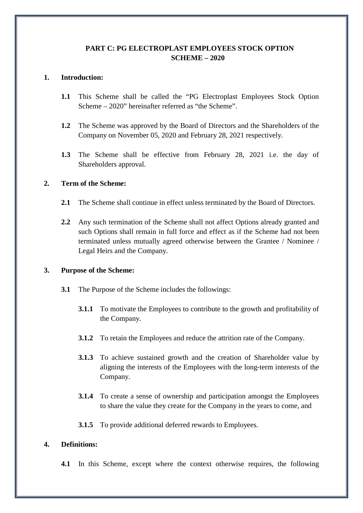## **PART C: PG ELECTROPLAST EMPLOYEES STOCK OPTION SCHEME – 2020**

## **1. Introduction:**

- **1.1** This Scheme shall be called the "PG Electroplast Employees Stock Option Scheme – 2020" hereinafter referred as "the Scheme".
- **1.2** The Scheme was approved by the Board of Directors and the Shareholders of the Company on November 05, 2020 and February 28, 2021 respectively.
- **1.3** The Scheme shall be effective from February 28, 2021 i.e. the day of Shareholders approval.

## **2. Term of the Scheme:**

- **2.1** The Scheme shall continue in effect unless terminated by the Board of Directors.
- **2.2** Any such termination of the Scheme shall not affect Options already granted and such Options shall remain in full force and effect as if the Scheme had not been terminated unless mutually agreed otherwise between the Grantee / Nominee / Legal Heirs and the Company.

#### **3. Purpose of the Scheme:**

- **3.1** The Purpose of the Scheme includes the followings:
	- **3.1.1** To motivate the Employees to contribute to the growth and profitability of the Company.
	- **3.1.2** To retain the Employees and reduce the attrition rate of the Company.
	- **3.1.3** To achieve sustained growth and the creation of Shareholder value by aligning the interests of the Employees with the long-term interests of the Company.
	- **3.1.4** To create a sense of ownership and participation amongst the Employees to share the value they create for the Company in the years to come, and
	- **3.1.5** To provide additional deferred rewards to Employees.

## **4. Definitions:**

**4.1** In this Scheme, except where the context otherwise requires, the following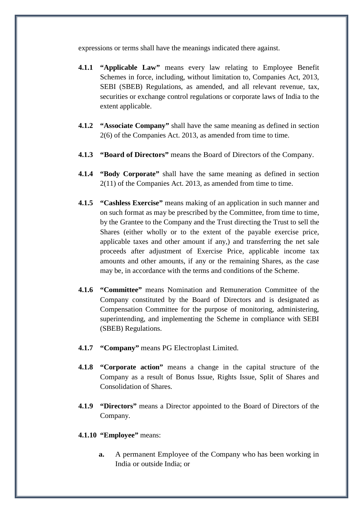expressions or terms shall have the meanings indicated there against.

- **4.1.1 "Applicable Law"** means every law relating to Employee Benefit Schemes in force, including, without limitation to, Companies Act, 2013, SEBI (SBEB) Regulations, as amended, and all relevant revenue, tax, securities or exchange control regulations or corporate laws of India to the extent applicable.
- **4.1.2 "Associate Company"** shall have the same meaning as defined in section 2(6) of the Companies Act. 2013, as amended from time to time.
- **4.1.3 "Board of Directors"** means the Board of Directors of the Company.
- **4.1.4 "Body Corporate"** shall have the same meaning as defined in section 2(11) of the Companies Act. 2013, as amended from time to time.
- **4.1.5 "Cashless Exercise"** means making of an application in such manner and on such format as may be prescribed by the Committee, from time to time, by the Grantee to the Company and the Trust directing the Trust to sell the Shares (either wholly or to the extent of the payable exercise price, applicable taxes and other amount if any,) and transferring the net sale proceeds after adjustment of Exercise Price, applicable income tax amounts and other amounts, if any or the remaining Shares, as the case may be, in accordance with the terms and conditions of the Scheme.
- **4.1.6 "Committee"** means Nomination and Remuneration Committee of the Company constituted by the Board of Directors and is designated as Compensation Committee for the purpose of monitoring, administering, superintending, and implementing the Scheme in compliance with SEBI (SBEB) Regulations.
- **4.1.7 "Company"** means PG Electroplast Limited.
- **4.1.8 "Corporate action"** means a change in the capital structure of the Company as a result of Bonus Issue, Rights Issue, Split of Shares and Consolidation of Shares.
- **4.1.9 "Directors"** means a Director appointed to the Board of Directors of the Company.
- **4.1.10 "Employee"** means:
	- **a.** A permanent Employee of the Company who has been working in India or outside India; or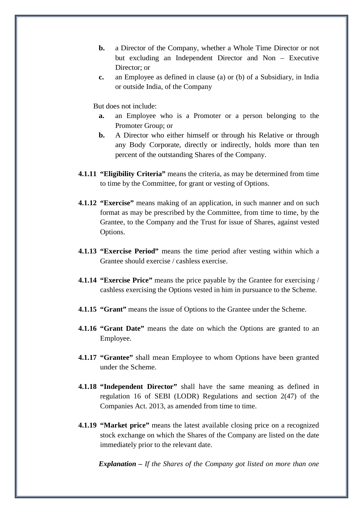- **b.** a Director of the Company, whether a Whole Time Director or not but excluding an Independent Director and Non – Executive Director; or
- **c.** an Employee as defined in clause (a) or (b) of a Subsidiary, in India or outside India, of the Company

But does not include:

- **a.** an Employee who is a Promoter or a person belonging to the Promoter Group; or
- **b.** A Director who either himself or through his Relative or through any Body Corporate, directly or indirectly, holds more than ten percent of the outstanding Shares of the Company.
- **4.1.11 "Eligibility Criteria"** means the criteria, as may be determined from time to time by the Committee, for grant or vesting of Options.
- **4.1.12 "Exercise"** means making of an application, in such manner and on such format as may be prescribed by the Committee, from time to time, by the Grantee, to the Company and the Trust for issue of Shares, against vested Options.
- **4.1.13 "Exercise Period"** means the time period after vesting within which a Grantee should exercise / cashless exercise.
- **4.1.14 "Exercise Price"** means the price payable by the Grantee for exercising / cashless exercising the Options vested in him in pursuance to the Scheme.
- **4.1.15 "Grant"** means the issue of Options to the Grantee under the Scheme.
- **4.1.16 "Grant Date"** means the date on which the Options are granted to an Employee.
- **4.1.17 "Grantee"** shall mean Employee to whom Options have been granted under the Scheme.
- **4.1.18 "Independent Director"** shall have the same meaning as defined in regulation 16 of SEBI (LODR) Regulations and section 2(47) of the Companies Act. 2013, as amended from time to time.
- **4.1.19 "Market price"** means the latest available closing price on a recognized stock exchange on which the Shares of the Company are listed on the date immediately prior to the relevant date.

*Explanation – If the Shares of the Company got listed on more than one*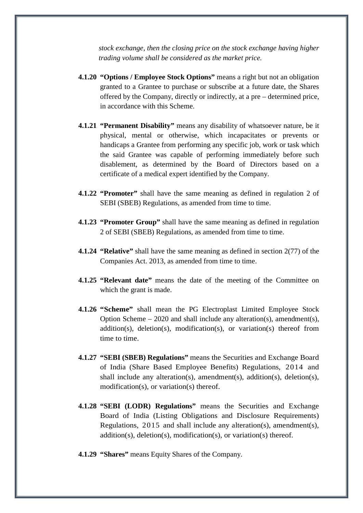*stock exchange, then the closing price on the stock exchange having higher trading volume shall be considered as the market price.*

- **4.1.20 "Options / Employee Stock Options"** means a right but not an obligation granted to a Grantee to purchase or subscribe at a future date, the Shares offered by the Company, directly or indirectly, at a pre – determined price, in accordance with this Scheme.
- **4.1.21 "Permanent Disability"** means any disability of whatsoever nature, be it physical, mental or otherwise, which incapacitates or prevents or handicaps a Grantee from performing any specific job, work or task which the said Grantee was capable of performing immediately before such disablement, as determined by the Board of Directors based on a certificate of a medical expert identified by the Company.
- **4.1.22 "Promoter"** shall have the same meaning as defined in regulation 2 of SEBI (SBEB) Regulations, as amended from time to time.
- **4.1.23 "Promoter Group"** shall have the same meaning as defined in regulation 2 of SEBI (SBEB) Regulations, as amended from time to time.
- **4.1.24 "Relative"** shall have the same meaning as defined in section 2(77) of the Companies Act. 2013, as amended from time to time.
- **4.1.25 "Relevant date"** means the date of the meeting of the Committee on which the grant is made.
- **4.1.26 "Scheme"** shall mean the PG Electroplast Limited Employee Stock Option Scheme – 2020 and shall include any alteration(s), amendment(s), addition(s), deletion(s), modification(s), or variation(s) thereof from time to time.
- **4.1.27 "SEBI (SBEB) Regulations"** means the Securities and Exchange Board of India (Share Based Employee Benefits) Regulations, 2014 and shall include any alteration(s), amendment(s), addition(s), deletion(s), modification(s), or variation(s) thereof.
- **4.1.28 "SEBI (LODR) Regulations"** means the Securities and Exchange Board of India (Listing Obligations and Disclosure Requirements) Regulations, 2015 and shall include any alteration(s), amendment(s), addition(s), deletion(s), modification(s), or variation(s) thereof.
- **4.1.29 "Shares"** means Equity Shares of the Company.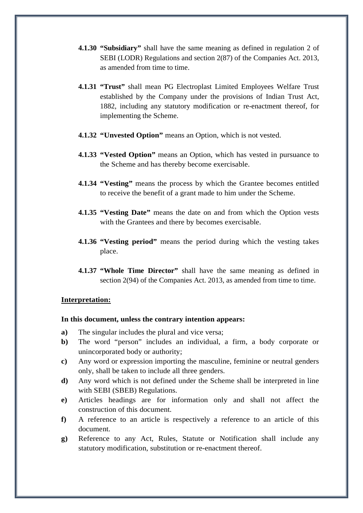- **4.1.30 "Subsidiary"** shall have the same meaning as defined in regulation 2 of SEBI (LODR) Regulations and section 2(87) of the Companies Act. 2013, as amended from time to time.
- **4.1.31 "Trust"** shall mean PG Electroplast Limited Employees Welfare Trust established by the Company under the provisions of Indian Trust Act, 1882, including any statutory modification or re-enactment thereof, for implementing the Scheme.
- **4.1.32 "Unvested Option"** means an Option, which is not vested.
- **4.1.33 "Vested Option"** means an Option, which has vested in pursuance to the Scheme and has thereby become exercisable.
- **4.1.34 "Vesting"** means the process by which the Grantee becomes entitled to receive the benefit of a grant made to him under the Scheme.
- **4.1.35 "Vesting Date"** means the date on and from which the Option vests with the Grantees and there by becomes exercisable.
- **4.1.36 "Vesting period"** means the period during which the vesting takes place.
- **4.1.37 "Whole Time Director"** shall have the same meaning as defined in section 2(94) of the Companies Act. 2013, as amended from time to time.

#### **Interpretation:**

#### **In this document, unless the contrary intention appears:**

- **a)** The singular includes the plural and vice versa;
- **b)** The word "person" includes an individual, a firm, a body corporate or unincorporated body or authority;
- **c)** Any word or expression importing the masculine, feminine or neutral genders only, shall be taken to include all three genders.
- **d)** Any word which is not defined under the Scheme shall be interpreted in line with SEBI (SBEB) Regulations.
- **e)** Articles headings are for information only and shall not affect the construction of this document.
- **f)** A reference to an article is respectively a reference to an article of this document.
- **g)** Reference to any Act, Rules, Statute or Notification shall include any statutory modification, substitution or re-enactment thereof.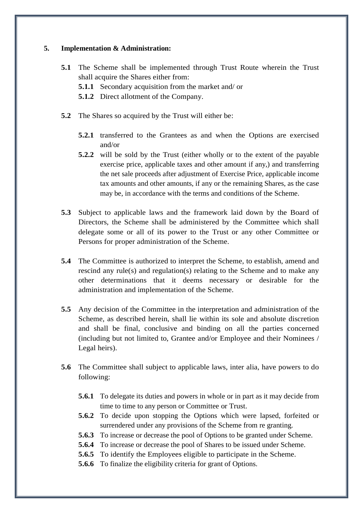## **5. Implementation & Administration:**

- **5.1** The Scheme shall be implemented through Trust Route wherein the Trust shall acquire the Shares either from:
	- **5.1.1** Secondary acquisition from the market and/ or
	- **5.1.2** Direct allotment of the Company.
- **5.2** The Shares so acquired by the Trust will either be:
	- **5.2.1** transferred to the Grantees as and when the Options are exercised and/or
	- **5.2.2** will be sold by the Trust (either wholly or to the extent of the payable exercise price, applicable taxes and other amount if any,) and transferring the net sale proceeds after adjustment of Exercise Price, applicable income tax amounts and other amounts, if any or the remaining Shares, as the case may be, in accordance with the terms and conditions of the Scheme.
- **5.3** Subject to applicable laws and the framework laid down by the Board of Directors, the Scheme shall be administered by the Committee which shall delegate some or all of its power to the Trust or any other Committee or Persons for proper administration of the Scheme.
- **5.4** The Committee is authorized to interpret the Scheme, to establish, amend and rescind any rule(s) and regulation(s) relating to the Scheme and to make any other determinations that it deems necessary or desirable for the administration and implementation of the Scheme.
- **5.5** Any decision of the Committee in the interpretation and administration of the Scheme, as described herein, shall lie within its sole and absolute discretion and shall be final, conclusive and binding on all the parties concerned (including but not limited to, Grantee and/or Employee and their Nominees / Legal heirs).
- **5.6** The Committee shall subject to applicable laws, inter alia, have powers to do following:
	- **5.6.1** To delegate its duties and powers in whole or in part as it may decide from time to time to any person or Committee or Trust.
	- **5.6.2** To decide upon stopping the Options which were lapsed, forfeited or surrendered under any provisions of the Scheme from re granting.
	- **5.6.3** To increase or decrease the pool of Options to be granted under Scheme.
	- **5.6.4** To increase or decrease the pool of Shares to be issued under Scheme.
	- **5.6.5** To identify the Employees eligible to participate in the Scheme.
	- **5.6.6** To finalize the eligibility criteria for grant of Options.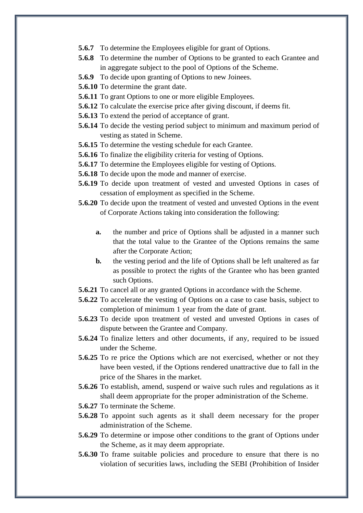- **5.6.7** To determine the Employees eligible for grant of Options.
- **5.6.8** To determine the number of Options to be granted to each Grantee and in aggregate subject to the pool of Options of the Scheme.
- **5.6.9** To decide upon granting of Options to new Joinees.
- **5.6.10** To determine the grant date.
- **5.6.11** To grant Options to one or more eligible Employees.
- **5.6.12** To calculate the exercise price after giving discount, if deems fit.
- **5.6.13** To extend the period of acceptance of grant.
- **5.6.14** To decide the vesting period subject to minimum and maximum period of vesting as stated in Scheme.
- **5.6.15** To determine the vesting schedule for each Grantee.
- **5.6.16** To finalize the eligibility criteria for vesting of Options.
- **5.6.17** To determine the Employees eligible for vesting of Options.
- **5.6.18** To decide upon the mode and manner of exercise.
- **5.6.19** To decide upon treatment of vested and unvested Options in cases of cessation of employment as specified in the Scheme.
- **5.6.20** To decide upon the treatment of vested and unvested Options in the event of Corporate Actions taking into consideration the following:
	- **a.** the number and price of Options shall be adjusted in a manner such that the total value to the Grantee of the Options remains the same after the Corporate Action;
	- **b.** the vesting period and the life of Options shall be left unaltered as far as possible to protect the rights of the Grantee who has been granted such Options.
- **5.6.21** To cancel all or any granted Options in accordance with the Scheme.
- **5.6.22** To accelerate the vesting of Options on a case to case basis, subject to completion of minimum 1 year from the date of grant.
- **5.6.23** To decide upon treatment of vested and unvested Options in cases of dispute between the Grantee and Company.
- **5.6.24** To finalize letters and other documents, if any, required to be issued under the Scheme.
- **5.6.25** To re price the Options which are not exercised, whether or not they have been vested, if the Options rendered unattractive due to fall in the price of the Shares in the market.
- **5.6.26** To establish, amend, suspend or waive such rules and regulations as it shall deem appropriate for the proper administration of the Scheme.
- **5.6.27** To terminate the Scheme.
- **5.6.28** To appoint such agents as it shall deem necessary for the proper administration of the Scheme.
- **5.6.29** To determine or impose other conditions to the grant of Options under the Scheme, as it may deem appropriate.
- **5.6.30** To frame suitable policies and procedure to ensure that there is no violation of securities laws, including the SEBI (Prohibition of Insider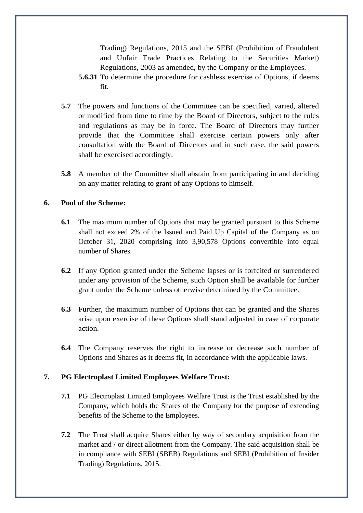Trading) Regulations, 2015 and the SEBI (Prohibition of Fraudulent and Unfair Trade Practices Relating to the Securities Market) Regulations, 2003 as amended, by the Company or the Employees.

- **5.6.31** To determine the procedure for cashless exercise of Options, if deems fit.
- **5.7** The powers and functions of the Committee can be specified, varied, altered or modified from time to time by the Board of Directors, subject to the rules and regulations as may be in force. The Board of Directors may further provide that the Committee shall exercise certain powers only after consultation with the Board of Directors and in such case, the said powers shall be exercised accordingly.
- **5.8** A member of the Committee shall abstain from participating in and deciding on any matter relating to grant of any Options to himself.

## **6. Pool of the Scheme:**

- **6.1** The maximum number of Options that may be granted pursuant to this Scheme shall not exceed 2% of the Issued and Paid Up Capital of the Company as on October 31, 2020 comprising into 3,90,578 Options convertible into equal number of Shares.
- **6.2** If any Option granted under the Scheme lapses or is forfeited or surrendered under any provision of the Scheme, such Option shall be available for further grant under the Scheme unless otherwise determined by the Committee.
- **6.3** Further, the maximum number of Options that can be granted and the Shares arise upon exercise of these Options shall stand adjusted in case of corporate action.
- **6.4** The Company reserves the right to increase or decrease such number of Options and Shares as it deems fit, in accordance with the applicable laws.

## **7. PG Electroplast Limited Employees Welfare Trust:**

- **7.1** PG Electroplast Limited Employees Welfare Trust is the Trust established by the Company, which holds the Shares of the Company for the purpose of extending benefits of the Scheme to the Employees.
- **7.2** The Trust shall acquire Shares either by way of secondary acquisition from the market and / or direct allotment from the Company. The said acquisition shall be in compliance with SEBI (SBEB) Regulations and SEBI (Prohibition of Insider Trading) Regulations, 2015.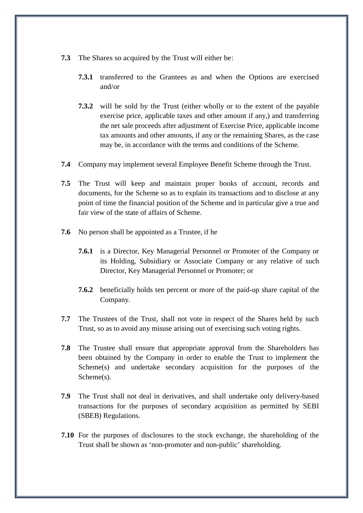- **7.3** The Shares so acquired by the Trust will either be:
	- **7.3.1** transferred to the Grantees as and when the Options are exercised and/or
	- **7.3.2** will be sold by the Trust (either wholly or to the extent of the payable exercise price, applicable taxes and other amount if any,) and transferring the net sale proceeds after adjustment of Exercise Price, applicable income tax amounts and other amounts, if any or the remaining Shares, as the case may be, in accordance with the terms and conditions of the Scheme.
- **7.4** Company may implement several Employee Benefit Scheme through the Trust.
- **7.5** The Trust will keep and maintain proper books of account, records and documents, for the Scheme so as to explain its transactions and to disclose at any point of time the financial position of the Scheme and in particular give a true and fair view of the state of affairs of Scheme.
- **7.6** No person shall be appointed as a Trustee, if he
	- **7.6.1** is a Director, Key Managerial Personnel or Promoter of the Company or its Holding, Subsidiary or Associate Company or any relative of such Director, Key Managerial Personnel or Promoter; or
	- **7.6.2** beneficially holds ten percent or more of the paid-up share capital of the Company.
- **7.7** The Trustees of the Trust, shall not vote in respect of the Shares held by such Trust, so as to avoid any misuse arising out of exercising such voting rights.
- **7.8** The Trustee shall ensure that appropriate approval from the Shareholders has been obtained by the Company in order to enable the Trust to implement the Scheme(s) and undertake secondary acquisition for the purposes of the Scheme(s).
- **7.9** The Trust shall not deal in derivatives, and shall undertake only delivery-based transactions for the purposes of secondary acquisition as permitted by SEBI (SBEB) Regulations.
- **7.10** For the purposes of disclosures to the stock exchange, the shareholding of the Trust shall be shown as 'non-promoter and non-public' shareholding.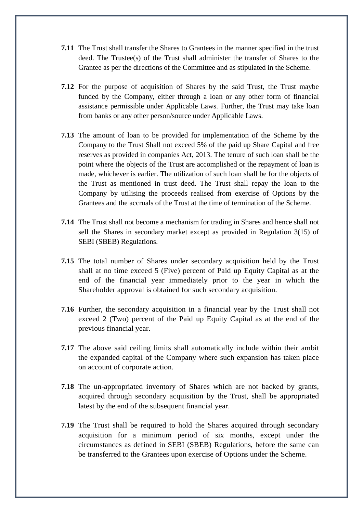- **7.11** The Trust shall transfer the Shares to Grantees in the manner specified in the trust deed. The Trustee(s) of the Trust shall administer the transfer of Shares to the Grantee as per the directions of the Committee and as stipulated in the Scheme.
- **7.12** For the purpose of acquisition of Shares by the said Trust, the Trust maybe funded by the Company, either through a loan or any other form of financial assistance permissible under Applicable Laws. Further, the Trust may take loan from banks or any other person/source under Applicable Laws.
- **7.13** The amount of loan to be provided for implementation of the Scheme by the Company to the Trust Shall not exceed 5% of the paid up Share Capital and free reserves as provided in companies Act, 2013. The tenure of such loan shall be the point where the objects of the Trust are accomplished or the repayment of loan is made, whichever is earlier. The utilization of such loan shall be for the objects of the Trust as mentioned in trust deed. The Trust shall repay the loan to the Company by utilising the proceeds realised from exercise of Options by the Grantees and the accruals of the Trust at the time of termination of the Scheme.
- **7.14** The Trust shall not become a mechanism for trading in Shares and hence shall not sell the Shares in secondary market except as provided in Regulation 3(15) of SEBI (SBEB) Regulations.
- **7.15** The total number of Shares under secondary acquisition held by the Trust shall at no time exceed 5 (Five) percent of Paid up Equity Capital as at the end of the financial year immediately prior to the year in which the Shareholder approval is obtained for such secondary acquisition.
- **7.16** Further, the secondary acquisition in a financial year by the Trust shall not exceed 2 (Two) percent of the Paid up Equity Capital as at the end of the previous financial year.
- **7.17** The above said ceiling limits shall automatically include within their ambit the expanded capital of the Company where such expansion has taken place on account of corporate action.
- **7.18** The un-appropriated inventory of Shares which are not backed by grants, acquired through secondary acquisition by the Trust, shall be appropriated latest by the end of the subsequent financial year.
- **7.19** The Trust shall be required to hold the Shares acquired through secondary acquisition for a minimum period of six months, except under the circumstances as defined in SEBI (SBEB) Regulations, before the same can be transferred to the Grantees upon exercise of Options under the Scheme.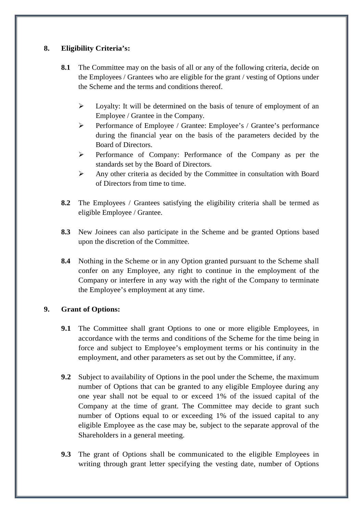## **8. Eligibility Criteria's:**

- **8.1** The Committee may on the basis of all or any of the following criteria, decide on the Employees / Grantees who are eligible for the grant / vesting of Options under the Scheme and the terms and conditions thereof.
	- $\triangleright$  Loyalty: It will be determined on the basis of tenure of employment of an Employee / Grantee in the Company.
	- Performance of Employee / Grantee: Employee's / Grantee's performance during the financial year on the basis of the parameters decided by the Board of Directors.
	- Performance of Company: Performance of the Company as per the standards set by the Board of Directors.
	- Any other criteria as decided by the Committee in consultation with Board of Directors from time to time.
- **8.2** The Employees / Grantees satisfying the eligibility criteria shall be termed as eligible Employee / Grantee.
- **8.3** New Joinees can also participate in the Scheme and be granted Options based upon the discretion of the Committee.
- **8.4** Nothing in the Scheme or in any Option granted pursuant to the Scheme shall confer on any Employee, any right to continue in the employment of the Company or interfere in any way with the right of the Company to terminate the Employee's employment at any time.

## **9. Grant of Options:**

- **9.1** The Committee shall grant Options to one or more eligible Employees, in accordance with the terms and conditions of the Scheme for the time being in force and subject to Employee's employment terms or his continuity in the employment, and other parameters as set out by the Committee, if any.
- **9.2** Subject to availability of Options in the pool under the Scheme, the maximum number of Options that can be granted to any eligible Employee during any one year shall not be equal to or exceed 1% of the issued capital of the Company at the time of grant. The Committee may decide to grant such number of Options equal to or exceeding 1% of the issued capital to any eligible Employee as the case may be, subject to the separate approval of the Shareholders in a general meeting.
- **9.3** The grant of Options shall be communicated to the eligible Employees in writing through grant letter specifying the vesting date, number of Options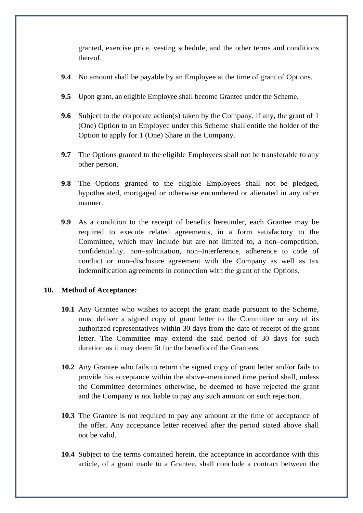granted, exercise price, vesting schedule, and the other terms and conditions thereof.

- **9.4** No amount shall be payable by an Employee at the time of grant of Options.
- **9.5** Upon grant, an eligible Employee shall become Grantee under the Scheme.
- **9.6** Subject to the corporate action(s) taken by the Company, if any, the grant of 1 (One) Option to an Employee under this Scheme shall entitle the holder of the Option to apply for 1 (One) Share in the Company.
- **9.7** The Options granted to the eligible Employees shall not be transferable to any other person.
- **9.8** The Options granted to the eligible Employees shall not be pledged, hypothecated, mortgaged or otherwise encumbered or alienated in any other manner.
- **9.9** As a condition to the receipt of benefits hereunder, each Grantee may be required to execute related agreements, in a form satisfactory to the Committee, which may include but are not limited to, a non–competition, confidentiality, non–solicitation, non–Interference, adherence to code of conduct or non–disclosure agreement with the Company as well as tax indemnification agreements in connection with the grant of the Options.

## **10. Method of Acceptance:**

- **10.1** Any Grantee who wishes to accept the grant made pursuant to the Scheme, must deliver a signed copy of grant letter to the Committee or any of its authorized representatives within 30 days from the date of receipt of the grant letter. The Committee may extend the said period of 30 days for such duration as it may deem fit for the benefits of the Grantees.
- **10.2** Any Grantee who fails to return the signed copy of grant letter and/or fails to provide his acceptance within the above–mentioned time period shall, unless the Committee determines otherwise, be deemed to have rejected the grant and the Company is not liable to pay any such amount on such rejection.
- **10.3** The Grantee is not required to pay any amount at the time of acceptance of the offer. Any acceptance letter received after the period stated above shall not be valid.
- **10.4** Subject to the terms contained herein, the acceptance in accordance with this article, of a grant made to a Grantee, shall conclude a contract between the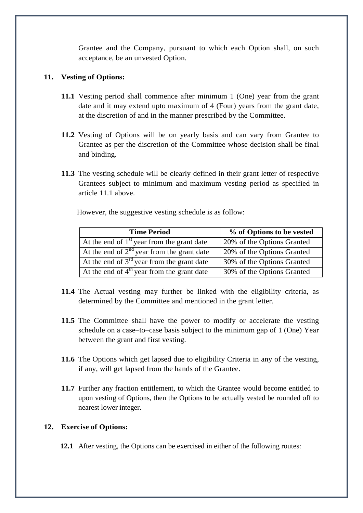Grantee and the Company, pursuant to which each Option shall, on such acceptance, be an unvested Option.

## **11. Vesting of Options:**

- **11.1** Vesting period shall commence after minimum 1 (One) year from the grant date and it may extend upto maximum of 4 (Four) years from the grant date, at the discretion of and in the manner prescribed by the Committee.
- **11.2** Vesting of Options will be on yearly basis and can vary from Grantee to Grantee as per the discretion of the Committee whose decision shall be final and binding.
- **11.3** The vesting schedule will be clearly defined in their grant letter of respective Grantees subject to minimum and maximum vesting period as specified in article 11.1 above.

However, the suggestive vesting schedule is as follow:

| <b>Time Period</b>                              | % of Options to be vested  |
|-------------------------------------------------|----------------------------|
| At the end of $1st$ year from the grant date    | 20% of the Options Granted |
| At the end of $2^{nd}$ year from the grant date | 20% of the Options Granted |
| At the end of $3rd$ year from the grant date    | 30% of the Options Granted |
| At the end of $4th$ year from the grant date    | 30% of the Options Granted |

- **11.4** The Actual vesting may further be linked with the eligibility criteria, as determined by the Committee and mentioned in the grant letter.
- **11.5** The Committee shall have the power to modify or accelerate the vesting schedule on a case–to–case basis subject to the minimum gap of 1 (One) Year between the grant and first vesting.
- **11.6** The Options which get lapsed due to eligibility Criteria in any of the vesting, if any, will get lapsed from the hands of the Grantee.
- **11.7** Further any fraction entitlement, to which the Grantee would become entitled to upon vesting of Options, then the Options to be actually vested be rounded off to nearest lower integer.

## **12. Exercise of Options:**

**12.1** After vesting, the Options can be exercised in either of the following routes: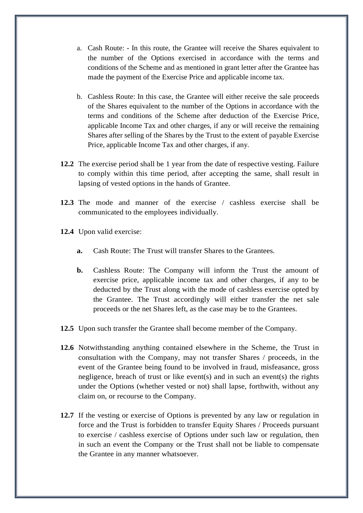- a. Cash Route: In this route, the Grantee will receive the Shares equivalent to the number of the Options exercised in accordance with the terms and conditions of the Scheme and as mentioned in grant letter after the Grantee has made the payment of the Exercise Price and applicable income tax.
- b. Cashless Route: In this case, the Grantee will either receive the sale proceeds of the Shares equivalent to the number of the Options in accordance with the terms and conditions of the Scheme after deduction of the Exercise Price, applicable Income Tax and other charges, if any or will receive the remaining Shares after selling of the Shares by the Trust to the extent of payable Exercise Price, applicable Income Tax and other charges, if any.
- **12.2** The exercise period shall be 1 year from the date of respective vesting. Failure to comply within this time period, after accepting the same, shall result in lapsing of vested options in the hands of Grantee.
- **12.3** The mode and manner of the exercise / cashless exercise shall be communicated to the employees individually.
- **12.4** Upon valid exercise:
	- **a.** Cash Route: The Trust will transfer Shares to the Grantees.
	- **b.** Cashless Route: The Company will inform the Trust the amount of exercise price, applicable income tax and other charges, if any to be deducted by the Trust along with the mode of cashless exercise opted by the Grantee. The Trust accordingly will either transfer the net sale proceeds or the net Shares left, as the case may be to the Grantees.
- **12.5** Upon such transfer the Grantee shall become member of the Company.
- **12.6** Notwithstanding anything contained elsewhere in the Scheme, the Trust in consultation with the Company, may not transfer Shares / proceeds, in the event of the Grantee being found to be involved in fraud, misfeasance, gross negligence, breach of trust or like event(s) and in such an event(s) the rights under the Options (whether vested or not) shall lapse, forthwith, without any claim on, or recourse to the Company.
- **12.7** If the vesting or exercise of Options is prevented by any law or regulation in force and the Trust is forbidden to transfer Equity Shares / Proceeds pursuant to exercise / cashless exercise of Options under such law or regulation, then in such an event the Company or the Trust shall not be liable to compensate the Grantee in any manner whatsoever.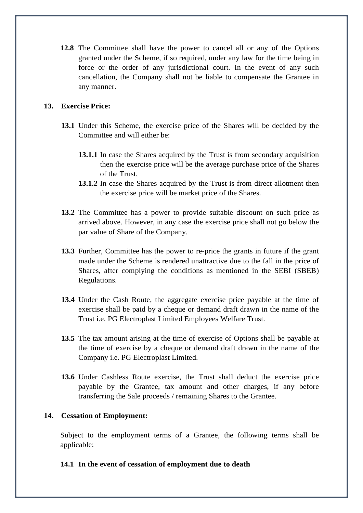**12.8** The Committee shall have the power to cancel all or any of the Options granted under the Scheme, if so required, under any law for the time being in force or the order of any jurisdictional court. In the event of any such cancellation, the Company shall not be liable to compensate the Grantee in any manner.

## **13. Exercise Price:**

- **13.1** Under this Scheme, the exercise price of the Shares will be decided by the Committee and will either be:
	- **13.1.1** In case the Shares acquired by the Trust is from secondary acquisition then the exercise price will be the average purchase price of the Shares of the Trust.
	- **13.1.2** In case the Shares acquired by the Trust is from direct allotment then the exercise price will be market price of the Shares.
- **13.2** The Committee has a power to provide suitable discount on such price as arrived above. However, in any case the exercise price shall not go below the par value of Share of the Company.
- **13.3** Further, Committee has the power to re-price the grants in future if the grant made under the Scheme is rendered unattractive due to the fall in the price of Shares, after complying the conditions as mentioned in the SEBI (SBEB) Regulations.
- **13.4** Under the Cash Route, the aggregate exercise price payable at the time of exercise shall be paid by a cheque or demand draft drawn in the name of the Trust i.e. PG Electroplast Limited Employees Welfare Trust.
- **13.5** The tax amount arising at the time of exercise of Options shall be payable at the time of exercise by a cheque or demand draft drawn in the name of the Company i.e. PG Electroplast Limited.
- **13.6** Under Cashless Route exercise, the Trust shall deduct the exercise price payable by the Grantee, tax amount and other charges, if any before transferring the Sale proceeds / remaining Shares to the Grantee.

## **14. Cessation of Employment:**

Subject to the employment terms of a Grantee, the following terms shall be applicable:

#### **14.1 In the event of cessation of employment due to death**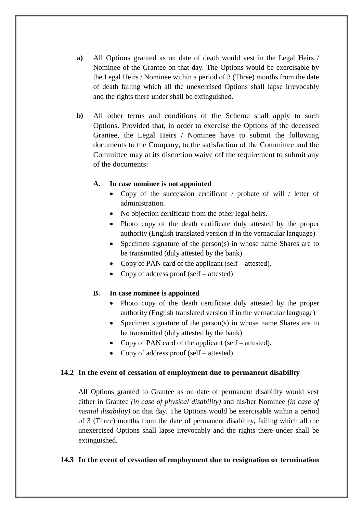- **a)** All Options granted as on date of death would vest in the Legal Heirs / Nominee of the Grantee on that day. The Options would be exercisable by the Legal Heirs / Nominee within a period of 3 (Three) months from the date of death failing which all the unexercised Options shall lapse irrevocably and the rights there under shall be extinguished.
- **b)** All other terms and conditions of the Scheme shall apply to such Options. Provided that, in order to exercise the Options of the deceased Grantee, the Legal Heirs / Nominee have to submit the following documents to the Company, to the satisfaction of the Committee and the Committee may at its discretion waive off the requirement to submit any of the documents:

#### **A. In case nominee is not appointed**

- Copy of the succession certificate / probate of will / letter of administration.
- No objection certificate from the other legal heirs.
- Photo copy of the death certificate duly attested by the proper authority (English translated version if in the vernacular language)
- Specimen signature of the person(s) in whose name Shares are to be transmitted (duly attested by the bank)
- Copy of PAN card of the applicant (self attested).
- Copy of address proof (self attested)

## **B. In case nominee is appointed**

- Photo copy of the death certificate duly attested by the proper authority (English translated version if in the vernacular language)
- Specimen signature of the person(s) in whose name Shares are to be transmitted (duly attested by the bank)
- Copy of PAN card of the applicant (self attested).
- Copy of address proof (self attested)

## **14.2 In the event of cessation of employment due to permanent disability**

All Options granted to Grantee as on date of permanent disability would vest either in Grantee *(in case of physical disability)* and his/her Nominee *(in case of mental disability)* on that day. The Options would be exercisable within a period of 3 (Three) months from the date of permanent disability, failing which all the unexercised Options shall lapse irrevocably and the rights there under shall be extinguished.

## **14.3 In the event of cessation of employment due to resignation or termination**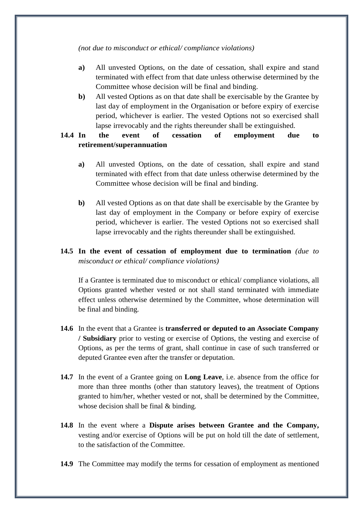*(not due to misconduct or ethical/ compliance violations)*

- **a)** All unvested Options, on the date of cessation, shall expire and stand terminated with effect from that date unless otherwise determined by the Committee whose decision will be final and binding.
- **b)** All vested Options as on that date shall be exercisable by the Grantee by last day of employment in the Organisation or before expiry of exercise period, whichever is earlier. The vested Options not so exercised shall lapse irrevocably and the rights thereunder shall be extinguished.

# **14.4 In the event of cessation of employment due to retirement/superannuation**

- **a)** All unvested Options, on the date of cessation, shall expire and stand terminated with effect from that date unless otherwise determined by the Committee whose decision will be final and binding.
- **b)** All vested Options as on that date shall be exercisable by the Grantee by last day of employment in the Company or before expiry of exercise period, whichever is earlier. The vested Options not so exercised shall lapse irrevocably and the rights thereunder shall be extinguished.

# **14.5 In the event of cessation of employment due to termination** *(due to misconduct or ethical/ compliance violations)*

If a Grantee is terminated due to misconduct or ethical/ compliance violations, all Options granted whether vested or not shall stand terminated with immediate effect unless otherwise determined by the Committee, whose determination will be final and binding.

- **14.6** In the event that a Grantee is **transferred or deputed to an Associate Company / Subsidiary** prior to vesting or exercise of Options, the vesting and exercise of Options, as per the terms of grant, shall continue in case of such transferred or deputed Grantee even after the transfer or deputation.
- **14.7** In the event of a Grantee going on **Long Leave**, i.e. absence from the office for more than three months (other than statutory leaves), the treatment of Options granted to him/her, whether vested or not, shall be determined by the Committee, whose decision shall be final & binding.
- **14.8** In the event where a **Dispute arises between Grantee and the Company,**  vesting and/or exercise of Options will be put on hold till the date of settlement, to the satisfaction of the Committee.
- **14.9** The Committee may modify the terms for cessation of employment as mentioned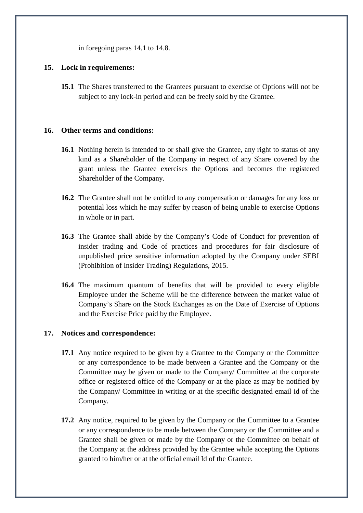in foregoing paras 14.1 to 14.8.

## **15. Lock in requirements:**

**15.1** The Shares transferred to the Grantees pursuant to exercise of Options will not be subject to any lock-in period and can be freely sold by the Grantee.

## **16. Other terms and conditions:**

- **16.1** Nothing herein is intended to or shall give the Grantee, any right to status of any kind as a Shareholder of the Company in respect of any Share covered by the grant unless the Grantee exercises the Options and becomes the registered Shareholder of the Company.
- **16.2** The Grantee shall not be entitled to any compensation or damages for any loss or potential loss which he may suffer by reason of being unable to exercise Options in whole or in part.
- **16.3** The Grantee shall abide by the Company's Code of Conduct for prevention of insider trading and Code of practices and procedures for fair disclosure of unpublished price sensitive information adopted by the Company under SEBI (Prohibition of Insider Trading) Regulations, 2015.
- **16.4** The maximum quantum of benefits that will be provided to every eligible Employee under the Scheme will be the difference between the market value of Company's Share on the Stock Exchanges as on the Date of Exercise of Options and the Exercise Price paid by the Employee.

## **17. Notices and correspondence:**

- **17.1** Any notice required to be given by a Grantee to the Company or the Committee or any correspondence to be made between a Grantee and the Company or the Committee may be given or made to the Company/ Committee at the corporate office or registered office of the Company or at the place as may be notified by the Company/ Committee in writing or at the specific designated email id of the Company.
- **17.2** Any notice, required to be given by the Company or the Committee to a Grantee or any correspondence to be made between the Company or the Committee and a Grantee shall be given or made by the Company or the Committee on behalf of the Company at the address provided by the Grantee while accepting the Options granted to him/her or at the official email Id of the Grantee.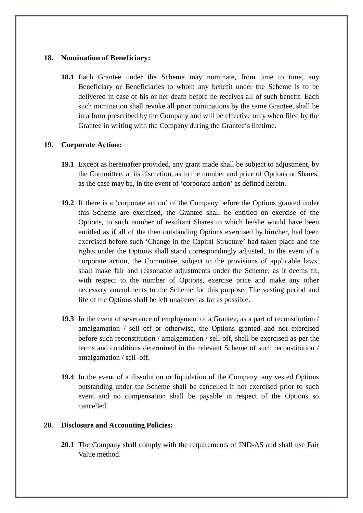#### **18. Nomination of Beneficiary:**

**18.1** Each Grantee under the Scheme may nominate, from time to time, any Beneficiary or Beneficiaries to whom any benefit under the Scheme is to be delivered in case of his or her death before he receives all of such benefit. Each such nomination shall revoke all prior nominations by the same Grantee, shall be in a form prescribed by the Company and will be effective only when filed by the Grantee in writing with the Company during the Grantee's lifetime.

## **19. Corporate Action:**

- **19.1** Except as hereinafter provided, any grant made shall be subject to adjustment, by the Committee, at its discretion, as to the number and price of Options or Shares, as the case may be, in the event of 'corporate action' as defined herein.
- **19.2** If there is a 'corporate action' of the Company before the Options granted under this Scheme are exercised, the Grantee shall be entitled on exercise of the Options, to such number of resultant Shares to which he/she would have been entitled as if all of the then outstanding Options exercised by him/her, had been exercised before such 'Change in the Capital Structure' had taken place and the rights under the Options shall stand correspondingly adjusted. In the event of a corporate action, the Committee, subject to the provisions of applicable laws, shall make fair and reasonable adjustments under the Scheme, as it deems fit, with respect to the number of Options, exercise price and make any other necessary amendments to the Scheme for this purpose. The vesting period and life of the Options shall be left unaltered as far as possible.
- **19.3** In the event of severance of employment of a Grantee, as a part of reconstitution / amalgamation / sell–off or otherwise, the Options granted and not exercised before such reconstitution / amalgamation / sell-off, shall be exercised as per the terms and conditions determined in the relevant Scheme of such reconstitution / amalgamation / sell–off.
- **19.4** In the event of a dissolution or liquidation of the Company, any vested Options outstanding under the Scheme shall be cancelled if not exercised prior to such event and no compensation shall be payable in respect of the Options so cancelled.

## **20. Disclosure and Accounting Policies:**

**20.1** The Company shall comply with the requirements of IND-AS and shall use Fair Value method.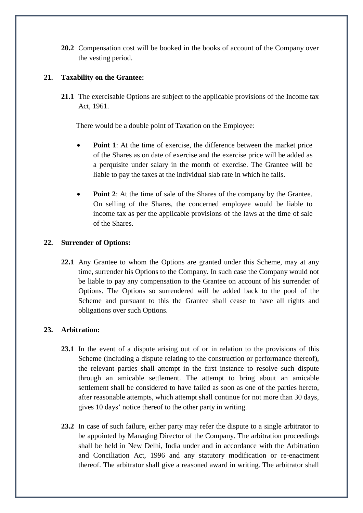**20.2** Compensation cost will be booked in the books of account of the Company over the vesting period.

## **21. Taxability on the Grantee:**

**21.1** The exercisable Options are subject to the applicable provisions of the Income tax Act, 1961.

There would be a double point of Taxation on the Employee:

- **Point 1**: At the time of exercise, the difference between the market price of the Shares as on date of exercise and the exercise price will be added as a perquisite under salary in the month of exercise. The Grantee will be liable to pay the taxes at the individual slab rate in which he falls.
- **Point 2:** At the time of sale of the Shares of the company by the Grantee. On selling of the Shares, the concerned employee would be liable to income tax as per the applicable provisions of the laws at the time of sale of the Shares.

## **22. Surrender of Options:**

**22.1** Any Grantee to whom the Options are granted under this Scheme, may at any time, surrender his Options to the Company. In such case the Company would not be liable to pay any compensation to the Grantee on account of his surrender of Options. The Options so surrendered will be added back to the pool of the Scheme and pursuant to this the Grantee shall cease to have all rights and obligations over such Options.

## **23. Arbitration:**

- **23.1** In the event of a dispute arising out of or in relation to the provisions of this Scheme (including a dispute relating to the construction or performance thereof), the relevant parties shall attempt in the first instance to resolve such dispute through an amicable settlement. The attempt to bring about an amicable settlement shall be considered to have failed as soon as one of the parties hereto, after reasonable attempts, which attempt shall continue for not more than 30 days, gives 10 days' notice thereof to the other party in writing.
- **23.2** In case of such failure, either party may refer the dispute to a single arbitrator to be appointed by Managing Director of the Company. The arbitration proceedings shall be held in New Delhi, India under and in accordance with the Arbitration and Conciliation Act, 1996 and any statutory modification or re-enactment thereof. The arbitrator shall give a reasoned award in writing. The arbitrator shall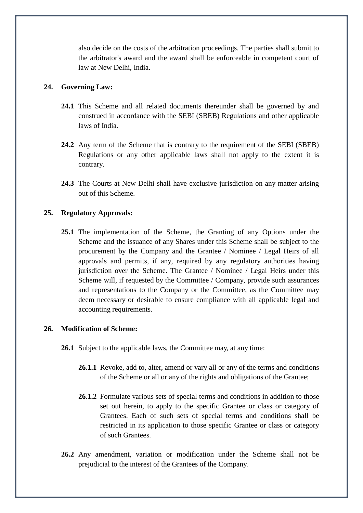also decide on the costs of the arbitration proceedings. The parties shall submit to the arbitrator's award and the award shall be enforceable in competent court of law at New Delhi, India.

#### **24. Governing Law:**

- **24.1** This Scheme and all related documents thereunder shall be governed by and construed in accordance with the SEBI (SBEB) Regulations and other applicable laws of India.
- **24.2** Any term of the Scheme that is contrary to the requirement of the SEBI (SBEB) Regulations or any other applicable laws shall not apply to the extent it is contrary.
- **24.3** The Courts at New Delhi shall have exclusive jurisdiction on any matter arising out of this Scheme.

#### **25. Regulatory Approvals:**

**25.1** The implementation of the Scheme, the Granting of any Options under the Scheme and the issuance of any Shares under this Scheme shall be subject to the procurement by the Company and the Grantee / Nominee / Legal Heirs of all approvals and permits, if any, required by any regulatory authorities having jurisdiction over the Scheme. The Grantee / Nominee / Legal Heirs under this Scheme will, if requested by the Committee / Company, provide such assurances and representations to the Company or the Committee, as the Committee may deem necessary or desirable to ensure compliance with all applicable legal and accounting requirements.

#### **26. Modification of Scheme:**

- **26.1** Subject to the applicable laws, the Committee may, at any time:
	- **26.1.1** Revoke, add to, alter, amend or vary all or any of the terms and conditions of the Scheme or all or any of the rights and obligations of the Grantee;
	- **26.1.2** Formulate various sets of special terms and conditions in addition to those set out herein, to apply to the specific Grantee or class or category of Grantees. Each of such sets of special terms and conditions shall be restricted in its application to those specific Grantee or class or category of such Grantees.
- **26.2** Any amendment, variation or modification under the Scheme shall not be prejudicial to the interest of the Grantees of the Company.